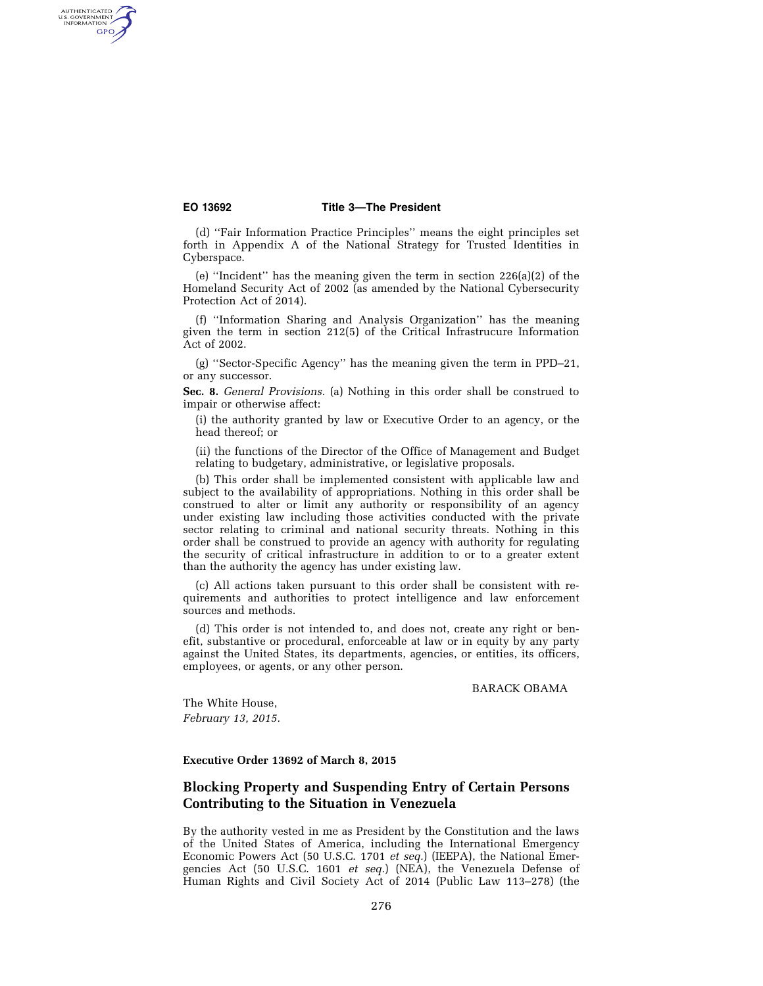AUTHENTICATED<br>U.S. GOVERNMENT<br>INFORMATION GPO

#### **EO 13692 Title 3—The President**

(d) ''Fair Information Practice Principles'' means the eight principles set forth in Appendix A of the National Strategy for Trusted Identities in Cyberspace.

(e) ''Incident'' has the meaning given the term in section 226(a)(2) of the Homeland Security Act of 2002 (as amended by the National Cybersecurity Protection Act of 2014).

(f) ''Information Sharing and Analysis Organization'' has the meaning given the term in section 212(5) of the Critical Infrastrucure Information Act of 2002.

(g) ''Sector-Specific Agency'' has the meaning given the term in PPD–21, or any successor.

**Sec. 8.** *General Provisions.* (a) Nothing in this order shall be construed to impair or otherwise affect:

(i) the authority granted by law or Executive Order to an agency, or the head thereof; or

(ii) the functions of the Director of the Office of Management and Budget relating to budgetary, administrative, or legislative proposals.

(b) This order shall be implemented consistent with applicable law and subject to the availability of appropriations. Nothing in this order shall be construed to alter or limit any authority or responsibility of an agency under existing law including those activities conducted with the private sector relating to criminal and national security threats. Nothing in this order shall be construed to provide an agency with authority for regulating the security of critical infrastructure in addition to or to a greater extent than the authority the agency has under existing law.

(c) All actions taken pursuant to this order shall be consistent with requirements and authorities to protect intelligence and law enforcement sources and methods.

(d) This order is not intended to, and does not, create any right or benefit, substantive or procedural, enforceable at law or in equity by any party against the United States, its departments, agencies, or entities, its officers, employees, or agents, or any other person.

BARACK OBAMA

The White House, *February 13, 2015.* 

## **Executive Order 13692 of March 8, 2015**

# **Blocking Property and Suspending Entry of Certain Persons Contributing to the Situation in Venezuela**

By the authority vested in me as President by the Constitution and the laws of the United States of America, including the International Emergency Economic Powers Act (50 U.S.C. 1701 *et seq.*) (IEEPA), the National Emergencies Act (50 U.S.C. 1601 *et seq.*) (NEA), the Venezuela Defense of Human Rights and Civil Society Act of 2014 (Public Law 113–278) (the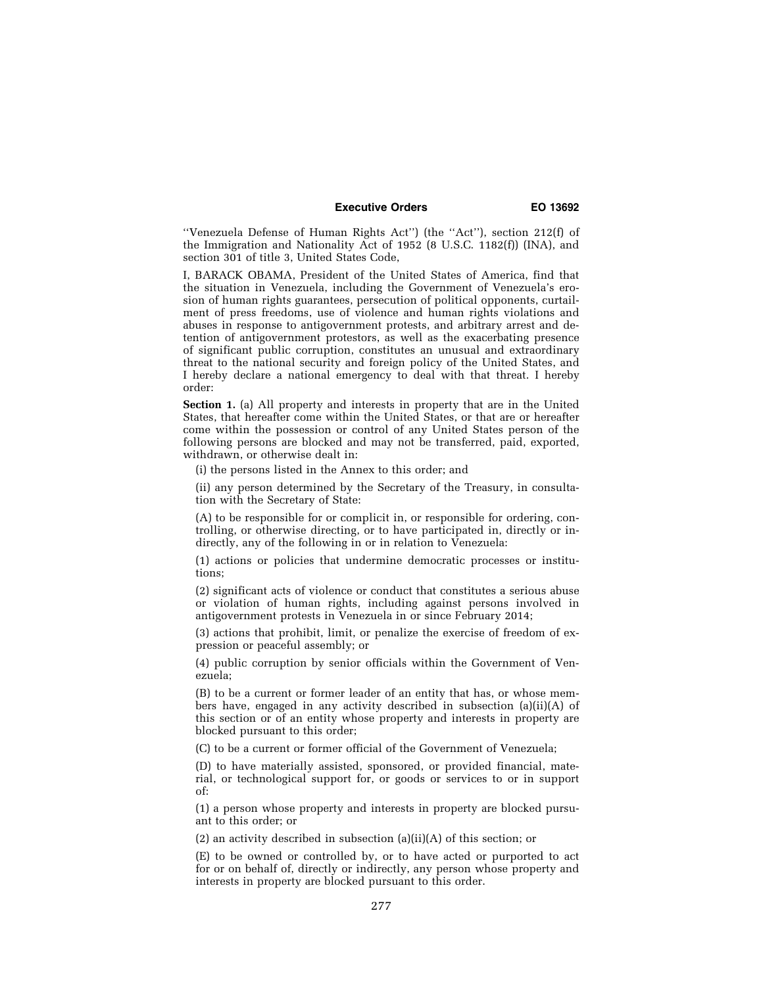### **Executive Orders EO 13692**

''Venezuela Defense of Human Rights Act'') (the ''Act''), section 212(f) of the Immigration and Nationality Act of 1952 (8 U.S.C. 1182(f)) (INA), and section 301 of title 3, United States Code,

I, BARACK OBAMA, President of the United States of America, find that the situation in Venezuela, including the Government of Venezuela's erosion of human rights guarantees, persecution of political opponents, curtailment of press freedoms, use of violence and human rights violations and abuses in response to antigovernment protests, and arbitrary arrest and detention of antigovernment protestors, as well as the exacerbating presence of significant public corruption, constitutes an unusual and extraordinary threat to the national security and foreign policy of the United States, and I hereby declare a national emergency to deal with that threat. I hereby order:

**Section 1.** (a) All property and interests in property that are in the United States, that hereafter come within the United States, or that are or hereafter come within the possession or control of any United States person of the following persons are blocked and may not be transferred, paid, exported, withdrawn, or otherwise dealt in:

(i) the persons listed in the Annex to this order; and

(ii) any person determined by the Secretary of the Treasury, in consultation with the Secretary of State:

(A) to be responsible for or complicit in, or responsible for ordering, controlling, or otherwise directing, or to have participated in, directly or indirectly, any of the following in or in relation to Venezuela:

(1) actions or policies that undermine democratic processes or institutions;

(2) significant acts of violence or conduct that constitutes a serious abuse or violation of human rights, including against persons involved in antigovernment protests in Venezuela in or since February 2014;

(3) actions that prohibit, limit, or penalize the exercise of freedom of expression or peaceful assembly; or

(4) public corruption by senior officials within the Government of Venezuela;

(B) to be a current or former leader of an entity that has, or whose members have, engaged in any activity described in subsection (a)(ii)(A) of this section or of an entity whose property and interests in property are blocked pursuant to this order;

(C) to be a current or former official of the Government of Venezuela;

(D) to have materially assisted, sponsored, or provided financial, material, or technological support for, or goods or services to or in support of:

(1) a person whose property and interests in property are blocked pursuant to this order; or

(2) an activity described in subsection (a)(ii)(A) of this section; or

(E) to be owned or controlled by, or to have acted or purported to act for or on behalf of, directly or indirectly, any person whose property and interests in property are blocked pursuant to this order.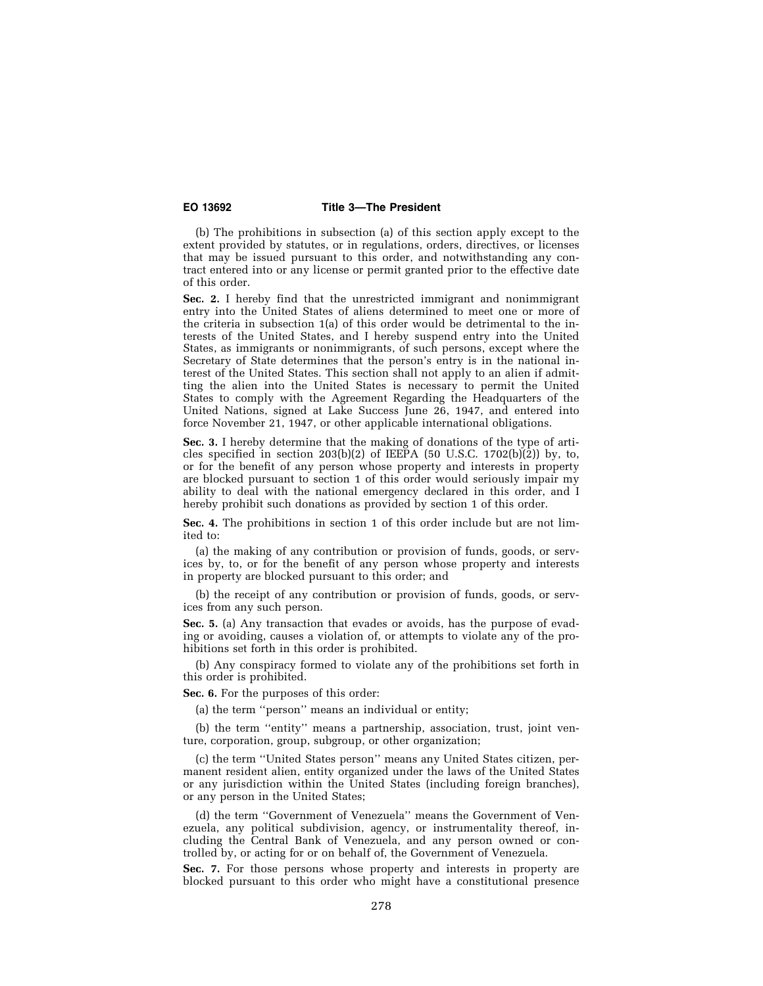### **EO 13692 Title 3—The President**

(b) The prohibitions in subsection (a) of this section apply except to the extent provided by statutes, or in regulations, orders, directives, or licenses that may be issued pursuant to this order, and notwithstanding any contract entered into or any license or permit granted prior to the effective date of this order.

**Sec. 2.** I hereby find that the unrestricted immigrant and nonimmigrant entry into the United States of aliens determined to meet one or more of the criteria in subsection 1(a) of this order would be detrimental to the interests of the United States, and I hereby suspend entry into the United States, as immigrants or nonimmigrants, of such persons, except where the Secretary of State determines that the person's entry is in the national interest of the United States. This section shall not apply to an alien if admitting the alien into the United States is necessary to permit the United States to comply with the Agreement Regarding the Headquarters of the United Nations, signed at Lake Success June 26, 1947, and entered into force November 21, 1947, or other applicable international obligations.

**Sec. 3.** I hereby determine that the making of donations of the type of articles specified in section 203(b)(2) of IEEPA (50 U.S.C. 1702(b)(2)) by, to, or for the benefit of any person whose property and interests in property are blocked pursuant to section 1 of this order would seriously impair my ability to deal with the national emergency declared in this order, and I hereby prohibit such donations as provided by section 1 of this order.

**Sec. 4.** The prohibitions in section 1 of this order include but are not limited to:

(a) the making of any contribution or provision of funds, goods, or services by, to, or for the benefit of any person whose property and interests in property are blocked pursuant to this order; and

(b) the receipt of any contribution or provision of funds, goods, or services from any such person.

**Sec. 5.** (a) Any transaction that evades or avoids, has the purpose of evading or avoiding, causes a violation of, or attempts to violate any of the prohibitions set forth in this order is prohibited.

(b) Any conspiracy formed to violate any of the prohibitions set forth in this order is prohibited.

**Sec. 6.** For the purposes of this order:

(a) the term ''person'' means an individual or entity;

(b) the term ''entity'' means a partnership, association, trust, joint venture, corporation, group, subgroup, or other organization;

(c) the term ''United States person'' means any United States citizen, permanent resident alien, entity organized under the laws of the United States or any jurisdiction within the United States (including foreign branches), or any person in the United States;

(d) the term ''Government of Venezuela'' means the Government of Venezuela, any political subdivision, agency, or instrumentality thereof, including the Central Bank of Venezuela, and any person owned or controlled by, or acting for or on behalf of, the Government of Venezuela.

**Sec. 7.** For those persons whose property and interests in property are blocked pursuant to this order who might have a constitutional presence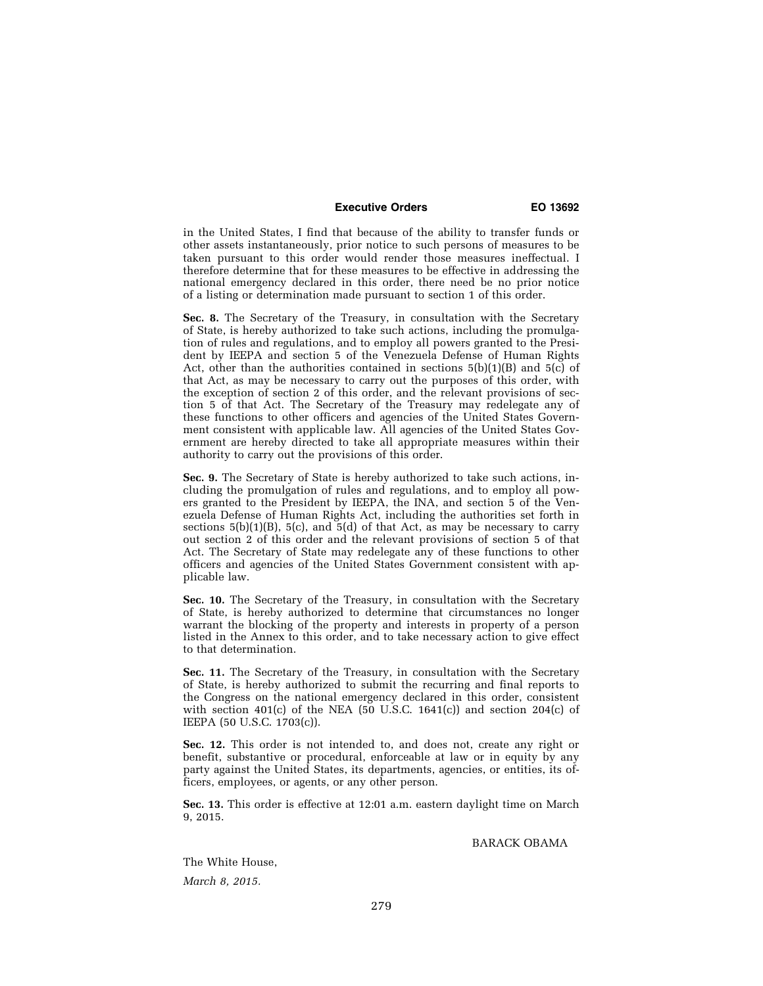### **Executive Orders EO 13692**

in the United States, I find that because of the ability to transfer funds or other assets instantaneously, prior notice to such persons of measures to be taken pursuant to this order would render those measures ineffectual. I therefore determine that for these measures to be effective in addressing the national emergency declared in this order, there need be no prior notice of a listing or determination made pursuant to section 1 of this order.

**Sec. 8.** The Secretary of the Treasury, in consultation with the Secretary of State, is hereby authorized to take such actions, including the promulgation of rules and regulations, and to employ all powers granted to the President by IEEPA and section 5 of the Venezuela Defense of Human Rights Act, other than the authorities contained in sections  $5(b)(1)(B)$  and  $5(c)$  of that Act, as may be necessary to carry out the purposes of this order, with the exception of section 2 of this order, and the relevant provisions of section 5 of that Act. The Secretary of the Treasury may redelegate any of these functions to other officers and agencies of the United States Government consistent with applicable law. All agencies of the United States Government are hereby directed to take all appropriate measures within their authority to carry out the provisions of this order.

**Sec. 9.** The Secretary of State is hereby authorized to take such actions, including the promulgation of rules and regulations, and to employ all powers granted to the President by IEEPA, the INA, and section 5 of the Venezuela Defense of Human Rights Act, including the authorities set forth in sections  $5(b)(1)(B)$ ,  $5(c)$ , and  $5(d)$  of that Act, as may be necessary to carry out section 2 of this order and the relevant provisions of section 5 of that Act. The Secretary of State may redelegate any of these functions to other officers and agencies of the United States Government consistent with applicable law.

**Sec. 10.** The Secretary of the Treasury, in consultation with the Secretary of State, is hereby authorized to determine that circumstances no longer warrant the blocking of the property and interests in property of a person listed in the Annex to this order, and to take necessary action to give effect to that determination.

**Sec. 11.** The Secretary of the Treasury, in consultation with the Secretary of State, is hereby authorized to submit the recurring and final reports to the Congress on the national emergency declared in this order, consistent with section 401 $(c)$  of the NEA (50 U.S.C. 1641 $(c)$ ) and section 204 $(c)$  of IEEPA (50 U.S.C. 1703(c)).

**Sec. 12.** This order is not intended to, and does not, create any right or benefit, substantive or procedural, enforceable at law or in equity by any party against the United States, its departments, agencies, or entities, its officers, employees, or agents, or any other person.

**Sec. 13.** This order is effective at 12:01 a.m. eastern daylight time on March 9, 2015.

BARACK OBAMA

The White House, *March 8, 2015.*